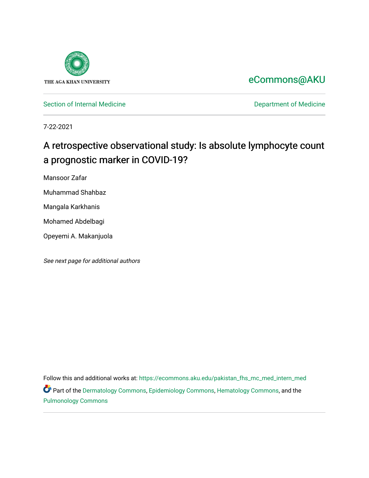

# [eCommons@AKU](https://ecommons.aku.edu/)

[Section of Internal Medicine](https://ecommons.aku.edu/pakistan_fhs_mc_med_intern_med) **Department of Medicine** Department of Medicine

7-22-2021

# A retrospective observational study: Is absolute lymphocyte count a prognostic marker in COVID-19?

Mansoor Zafar

Muhammad Shahbaz

Mangala Karkhanis

Mohamed Abdelbagi

Opeyemi A. Makanjuola

See next page for additional authors

Follow this and additional works at: [https://ecommons.aku.edu/pakistan\\_fhs\\_mc\\_med\\_intern\\_med](https://ecommons.aku.edu/pakistan_fhs_mc_med_intern_med?utm_source=ecommons.aku.edu%2Fpakistan_fhs_mc_med_intern_med%2F206&utm_medium=PDF&utm_campaign=PDFCoverPages)  Part of the [Dermatology Commons,](http://network.bepress.com/hgg/discipline/684?utm_source=ecommons.aku.edu%2Fpakistan_fhs_mc_med_intern_med%2F206&utm_medium=PDF&utm_campaign=PDFCoverPages) [Epidemiology Commons,](http://network.bepress.com/hgg/discipline/740?utm_source=ecommons.aku.edu%2Fpakistan_fhs_mc_med_intern_med%2F206&utm_medium=PDF&utm_campaign=PDFCoverPages) [Hematology Commons,](http://network.bepress.com/hgg/discipline/1059?utm_source=ecommons.aku.edu%2Fpakistan_fhs_mc_med_intern_med%2F206&utm_medium=PDF&utm_campaign=PDFCoverPages) and the [Pulmonology Commons](http://network.bepress.com/hgg/discipline/1363?utm_source=ecommons.aku.edu%2Fpakistan_fhs_mc_med_intern_med%2F206&utm_medium=PDF&utm_campaign=PDFCoverPages)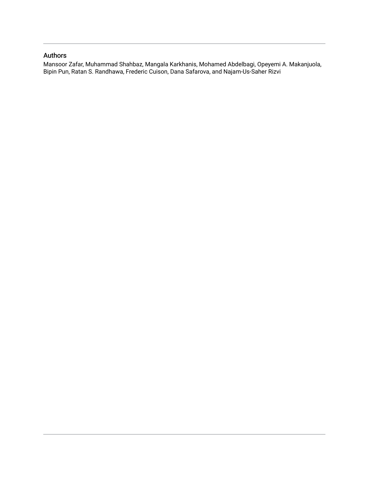# Authors

Mansoor Zafar, Muhammad Shahbaz, Mangala Karkhanis, Mohamed Abdelbagi, Opeyemi A. Makanjuola, Bipin Pun, Ratan S. Randhawa, Frederic Cuison, Dana Safarova, and Najam-Us-Saher Rizvi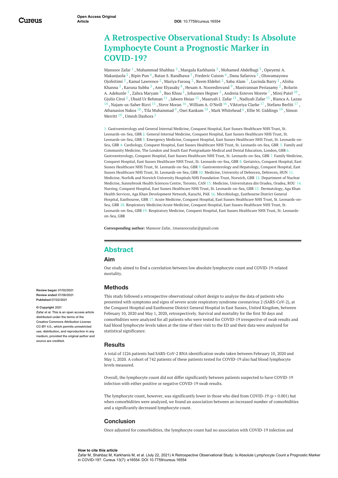# **A Retrospective Observational Study: Is Absolute Lymphocyte Count a Prognostic Marker in COVID-19?**

[Mansoor](https://www.cureus.com/users/248900-mansoor-zafar) Zafar  $^1$  , [Muhammad](https://www.cureus.com/users/248959-muhammad-shahbaz) Shahbaz  $^2$  , Mangala [Karkhanis](https://www.cureus.com/users/248960-mangala-m-karkhanis)  $^2$  , Mohamed [Abdelbagi](https://www.cureus.com/users/248961-mohamed-abdelbagi)  $^3$  , Opeyemi A. Makanjuola  $^2$  , [Bipin](https://www.cureus.com/users/248968-bipin-pun) Pun  $^4$  , Ratan S. [Randhawa](https://www.cureus.com/users/248926-ratan-s-randhawa)  $^5$  , [Frederic](https://www.cureus.com/users/248970-frederic-cuison) Cuison  $^6$  , Dana [Safarova](https://www.cureus.com/users/248971-dana-safarova)  $^2$  , [Oluwamayo](https://www.cureus.com/users/248963-opeyemi-a-makanjuola)[wa](https://www.cureus.com/users/248972-oluwamayowa-ojofeitimi) Ojofeitimi  $^2$  , Kamal [Lawrence](https://www.cureus.com/users/248973-kamal-lawrence)  $^2$  , Mariya [Farooq](https://www.cureus.com/users/248974-mariya-farooq)  $^2$  , Reem [Eldebri](https://www.cureus.com/users/248924-reem-eldebri)  $^2$  , Saba [Alam](https://www.cureus.com/users/248975-saba-alam)  $^7$  , [Lucinda](https://www.cureus.com/users/248978-lucinda-barry) Barry  $^2$  , Alisha Khanna  $^2$  , [Karuna](https://www.cureus.com/users/248982-karuna-subba) Subba  $^2$  , Amr [Elyasaky](https://www.cureus.com/users/248985-amr-elyasaky)  $^8$  , Hesam A. [Nooredinvand](https://www.cureus.com/users/248998-bolurin-adekunle)  $^9$  , [Manivannan](https://www.cureus.com/users/248988-manivannan-periasamy) Periasamy  $^2$  , Bolurin A. Adekunle  $^2$  , Zahra [Maryam](https://www.cureus.com/users/248999-zahra-maryam)  $^2$  , Bao [Khuu](https://www.cureus.com/users/249000-bao-khuu)  $^2$  , [Johannes](https://www.cureus.com/users/249001-johannes-hegner) Hegner  $^2$  , [Andreia](https://www.cureus.com/users/249003-andreia-esteves-morete) Esteves Morete  $^7$  , [Mirej](https://www.cureus.com/users/249007-mirej-patel) Patel  $^{10}$  , [Gjulio](https://www.cureus.com/users/249008-gjulio-ciroi-tamos-marku) Ciroi  $^2$  , Ubaid Ur [Rehman](https://www.cureus.com/users/203945-ubaid-ur-rehman)  $^{11}$  , [Jabeen](https://www.cureus.com/users/249009-jabeen-hsiao) Hsiao  $^{12}$  , [Maaryah](https://www.cureus.com/users/249010-maaryah-zafar) J. Zafar  $^{13}$  , [Nadiyah](https://www.cureus.com/users/249012-nadiyah-zafar) Zafar  $^{13}$  , Bianca A. Lazau  $^{14}$  , [Najam-us-Saher](https://www.cureus.com/users/249013-bianca-lazau) Rizvi  $^{15}$  , Steve [Moran](https://www.cureus.com/users/249016-steve-moran)  $^{16}$  , [William](https://www.cureus.com/users/249017-william-o-neill) A. O'Neill  $^{16}$  , [Viktoriya](https://www.cureus.com/users/249018-viktoriya-clarke) Clarke  $^{17}$  , [Stefano](https://www.cureus.com/users/249019-stefano-berliti) Berliti  $^{17}$  , [Athanasios](https://www.cureus.com/users/249020-athanasios-nakos) Nakos  $^{18}$  , Tila [Muhammad](https://www.cureus.com/users/249021-tila-muhammad)  $^9$  , Osei [Kankam](https://www.cureus.com/users/249022-osei-kankam)  $^{19}$  , Mark [Whitehead](https://www.cureus.com/users/248910-mark-whitehead)  $^6$  , Ellie M. [Giddings](https://www.cureus.com/users/249023-ellie-m-giddings)  $^{19}$  , Simon Merritt  $^{19}$  , Umesh [Dashora](https://www.cureus.com/users/248911-umesh-dashora)  $^2$ 

<span id="page-2-0"></span>1. Gastroenterology and General Internal Medicine, Conquest Hospital, East Sussex Healthcare NHS Trust, St. Leonards-on-Sea, GBR 2. General Internal Medicine, Conquest Hospital, East Sussex Healthcare NHS Trust, St. Leonards-on-Sea, GBR 3. Emergency Medicine, Conquest Hospital, East Sussex Healthcare NHS Trust, St. Leonards-on-Sea, GBR 4. Cardiology, Conquest Hospital, East Sussex Healthcare NHS Trust, St. Leonards-on-Sea, GBR 5. Family and Community Medicine, The London and South East Postgraduate Medical and Dental Education, London, GBR 6. Gastroenterology, Conquest Hospital, East Sussex Healthcare NHS Trust, St. Leonards-on-Sea, GBR 7. Family Medicine, Conquest Hospital, East Sussex Healthcare NHS Trust, St. Leonards-on-Sea, GBR 8. Geriatrics, Conquest Hospital, East Sussex Healthcare NHS Trust, St. Leonards-on-Sea, GBR 9. Gastroenterology and Hepatology, Conquest Hospital, East Sussex Healthcare NHS Trust, St. Leonards-on-Sea, GBR 10. Medicine, University of Debrecen, Debrecen, HUN 11. Medicine, Norfolk and Norwich University Hospitals NHS Foundation Trust, Norwich, GBR 12. Department of Nuclear Medicine, Sunnybrook Health Sciences Centre, Toronto, CAN 13. Medicine, Universitatea din Oradea, Oradea, ROU 14. Nursing, Conquest Hospital, East Sussex Healthcare NHS Trust, St. Leonards-on-Sea, GBR 15. Dermatology, Aga Khan Health Services, Aga Khan Development Network, Karachi, PAK 16. Microbiology, Eastbourne District General Hospital, Eastbourne, GBR 17. Acute Medicine, Conquest Hospital, East Sussex Healthcare NHS Trust, St. Leonards-on-Sea, GBR 18. Respiratory Medicine/Acute Medicine, Conquest Hospital, East Sussex Healthcare NHS Trust, St. Leonards-on-Sea, GBR 19. Respiratory Medicine, Conquest Hospital, East Sussex Healthcare NHS Trust, St. Leonardson-Sea, GBR

**Corresponding author:** Mansoor Zafar, 1mansoorzafar@gmail.com

# **Abstract**

#### **Aim**

Our study aimed to find a correlation between low absolute lymphocyte count and COVID-19-related mortality.

#### **Methods**

This study followed a retrospective observational cohort design to analyze the data of patients who presented with symptoms and signs of severe acute respiratory syndrome coronavirus 2 (SARS-CoV-2), at the Conquest Hospital and Eastbourne District General Hospital in East Sussex, United Kingdom, between February 10, 2020 and May 1, 2020, retrospectively. Survival and mortality for the first 30 days and comorbidities were analyzed for all patients who were tested for COVID-19 irrespective of swab results and had blood lymphocyte levels taken at the time of their visit to the ED and their data were analyzed for statistical significance.

#### **Results**

A total of 1226 patients had SARS-CoV-2 RNA identification swabs taken between February 10, 2020 and May 1, 2020. A cohort of 742 patients of these patients tested for COVID-19 also had blood lymphocyte levels measured.

Overall, the lymphocyte count did not differ significantly between patients suspected to have COVID-19 infection with either positive or negative COVID-19 swab results.

The lymphocyte count, however, was significantly lower in those who died from COVID-19 ( $p < 0.001$ ) but when comorbidities were analyzed, we found an association between an increased number of comorbidities and a significantly decreased lymphocyte count.

#### **Conclusion**

Once adjusted for comorbidities, the lymphocyte count had no association with COVID-19 infection and

#### **How to cite this article**

Zafar M, Shahbaz M, Karkhanis M, et al. (July 22, 2021) A Retrospective Observational Study: Is Absolute Lymphocyte Count a Prognostic Marker in COVID-19?. Cureus 13(7): e16554. DOI 10.7759/cureus.16554

**Review began** 07/02/2021 **Review ended** 07/06/2021 **Published** 07/22/2021

#### **© Copyright** 2021

Zafar et al. This is an open access article distributed under the terms of the Creative Commons Attribution License CC-BY 4.0., which permits unrestricted use, distribution, and reproduction in any medium, provided the original author and source are credited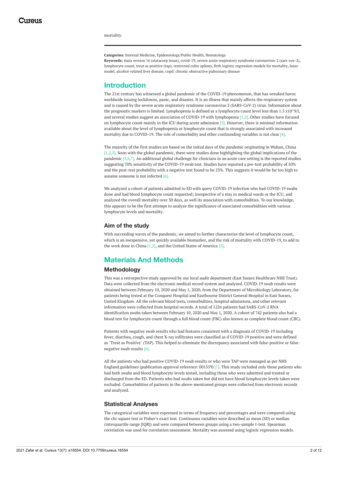<span id="page-3-0"></span>mortality.

**Categories:** Internal Medicine, Epidemiology/Public Health, Hematology

**Keywords:** stata version 16 (statacorp texas), covid-19, severe acute respiratory syndrome coronavirus-2 (sars-cov-2), lymphocyte count, treat as positive (tap), restricted cubic splines, firth logistic regression models for mortality, lasso model, alcohol-related liver disease, copd: chronic obstructive pulmonary disease

### **Introduction**

The 21st century has witnessed a global pandemic of the COVID-19 phenomenon, that has wreaked havoc worldwide issuing lockdowns, panic, and disaster. It is an illness that mainly affects the respiratory system and is caused by the severe acute respiratory syndrome coronavirus 2 (SARS-CoV-2) virus. Information about the prognostic markers is limited. Lymphopenia is defined as a lymphocyte count level less than 1.5 x10^9/l, and several studies suggest an association of COVID-19 with lymphopenia [1,2]. Other studies have focused on lymphocyte count mainly in the ICU during acute admission [3]. However, there is minimal information available about the level of lymphopenia or lymphocyte count that is strongly associated with increased mortality due to COVID-19. The role of comorbidity and other confounding variables is not clear [4].

The majority of the first studies are based on the initial days of the pandemic originating in Wuhan, China  $[1,2,5]$ . Soon with the global pandemic, there were studies done highlighting the global implications of the pandemic [3,6,7]. An additional global challenge for clinicians in an acute care setting is the reported studies suggesting 70% sensitivity of the COVID-19 swab test. Studies have reported a pre-test probability of 50% and the post-test probability with a negative test found to be 23%. This suggests it would be far too high to assume someone is not infected [6].

We analyzed a cohort of patients admitted to ED with query COVID-19 infection who had COVID-19 swabs done and had blood lymphocyte count requested; irrespective of a stay in medical wards or the ICU, and analyzed the overall mortality over 30 days, as well its association with comorbidities. To our knowledge, this appears to be the first attempt to analyze the significance of associated comorbidities with various lymphocyte levels and mortality.

#### **Aim of the study**

With succeeding waves of the pandemic, we aimed to further characterize the level of lymphocyte count, which is an inexpensive, yet quickly available biomarker, and the risk of mortality with COVID-19, to add to the work done in China [1,2], and the United States of America [3].

# **Materials And Methods**

#### **Methodology**

This was a retrospective study approved by our local audit department (East Sussex Healthcare NHS Trust). Data were collected from the electronic medical record system and analyzed. COVID-19 swab results were obtained between February 10, 2020 and May 1, 2020, from the Department of Microbiology Laboratory, for patients being tested at the Conquest Hospital and Eastbourne District General Hospital in East Sussex, United Kingdom. All the relevant blood tests, comorbidities, hospital admissions, and other relevant information were collected from hospital records. A total of 1226 patients had SARS-CoV-2 RNA identification swabs taken between February 10, 2020 and May 1, 2020. A cohort of 742 patients also had a blood test for lymphocyte count through a full blood count (FBC) also known as complete blood count (CBC).

Patients with negative swab results who had features consistent with a diagnosis of COVID-19 including fever, diarrhea, cough, and chest X-ray infiltrates were classified as if COVID-19 positive and were defined as "Treat as Positive" (TAP). This helped to eliminate the discrepancy associated with false-positive or falsenegative swab results [6].

All the patients who had positive COVID-19 swab results or who were TAP were managed as per NHS England guidelines (publication approval reference: 001559) [7]. This study included only those patients who had both swabs and blood lymphocyte levels tested, including those who were admitted and treated or discharged from the ED. Patients who had swabs taken but did not have blood lymphocyte levels taken were excluded. Comorbidities of patients in the above-mentioned groups were collected from electronic records and analyzed.

#### **Statistical Analyses**

The categorical variables were expressed in terms of frequency and percentages and were compared using the chi-square test or Fisher's exact test. Continuous variables were described as mean (SD) or median (interquartile range [IQR]) and were compared between groups using a two-sample t-test. Spearman correlation was used for correlation assessment. Mortality was assessed using logistic regression models.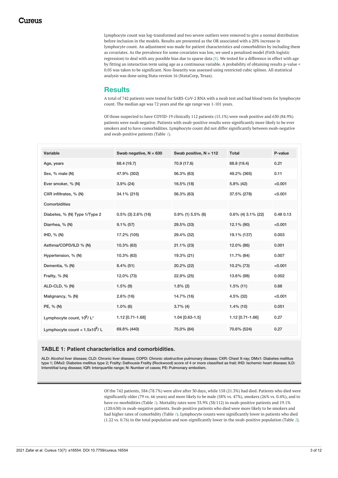<span id="page-4-0"></span>Lymphocyte count was log-transformed and two severe outliers were removed to give a normal distribution before inclusion in the models. Results are presented as the OR associated with a 20% increase in lymphocyte count. An adjustment was made for patient characteristics and comorbidities by including them as covariates. As the prevalence for some covariates was low, we used a penalized model (Firth logistic regression) to deal with any possible bias due to sparse data  $[8]$ . We tested for a difference in effect with age by fitting an interaction term using age as a continuous variable. A probability of obtaining results p-value < 0.05 was taken to be significant. Non-linearity was assessed using restricted cubic splines. All statistical analysis was done using Stata version 16 (StataCorp, Texas).

### **Results**

A total of 742 patients were tested for SARS-CoV-2 RNA with a swab test and had blood tests for lymphocyte count. The median age was 72 years and the age range was 1-101 years.

Of those suspected to have COVID-19 clinically 112 patients (15.1%) were swab positive and 630 (84.9%) patients were swab negative. Patients with swab-positive results were significantly more likely to be ever smokers and to have comorbidities. Lymphocyte count did not differ significantly between swab-negative and swab-positive patients (Table *[1](#page-2-0)*).

<span id="page-4-1"></span>

| Variable                                  | Swab negative, $N = 630$ | Swab positive, $N = 112$ | <b>Total</b>          | P-value   |
|-------------------------------------------|--------------------------|--------------------------|-----------------------|-----------|
| Age, years                                | 68.4 (19.7)              | 70.9 (17.6)              | 68.8 (19.4)           | 0.21      |
| Sex, % male (N)                           | 47.9% (302)              | 56.3% (63)               | 49.2% (365)           | 0.11      |
| Ever smoker, % (N)                        | $3.9\%$ (24)             | 16.5% (18)               | $5.8\%$ (42)          | < 0.001   |
| CXR infiltrates, % (N)                    | 34.1% (215)              | 56.3% (63)               | 37.5% (278)           | < 0.001   |
| Comorbidities                             |                          |                          |                       |           |
| Diabetes, % (N) Type 1/Type 2             | $0.5\%$ (3) 2.6% (16)    | $0.9\%$ (1) 5.5% (6)     | $0.6\%$ (4) 3.1% (22) | 0.48 0.13 |
| Diarrhea, % (N)                           | $9.1\%$ (57)             | 29.5% (33)               | 12.1% (90)            | < 0.001   |
| IHD, $\%$ (N)                             | 17.2% (105)              | 29.4% (32)               | 19.1% (137)           | 0.003     |
| Asthma/COPD/ILD % (N)                     | 10.3% (63)               | $21.1\%$ (23)            | 12.0% (86)            | 0.001     |
| Hypertension, % (N)                       | 10.3% (63)               | 19.3% (21)               | 11.7% (84)            | 0.007     |
| Dementia, % (N)                           | $8.4\%$ (51)             | 20.2% (22)               | 10.2% (73)            | < 0.001   |
| Frailty, % (N)                            | 12.0% (73)               | 22.9% (25)               | 13.6% (98)            | 0.002     |
| ALD-CLD, % (N)                            | $1.5\%$ (9)              | $1.8\%$ (2)              | $1.5\%$ (11)          | 0.68      |
| Malignancy, % (N)                         | $2.6\%$ (16)             | 14.7% (16)               | 4.5% (32)             | < 0.001   |
| PE, % (N)                                 | $1.0\%$ (6)              | $3.7\%$ (4)              | $1.4\%$ (10)          | 0.051     |
| Lymphocyte count, $10^9$ / L <sup>*</sup> | 1.12 [0.71-1.68]         | 1.04 [0.63-1.5]          | 1.12 [0.71-1.66]      | 0.27      |
| Lymphocyte count < $1.5x10^9$ / L         | 69.8% (440)              | 75.0% (84)               | 70.6% (524)           | 0.27      |

#### **TABLE 1: Patient characteristics and comorbidities.**

ALD: Alcohol liver disease; CLD: Chronic liver disease; COPD: Chronic obstructive pulmonary disease; CXR: Chest X-ray; DMx1: Diabetes mellitus type 1; DMx2: Diabetes mellitus type 2; Frailty: Dalhousie Frailty (Rockwood) score of 4 or more classified as frail; IHD: Ischemic heart disease; ILD: Interstitial lung disease; IQR: Interquartile range; N: Number of cases; PE: Pulmonary embolism.

> Of the 742 patients, 584 (78.7%) were alive after 30 days, while 158 (21.3%) had died. Patients who died were significantly older (79 vs. 66 years) and more likely to be male (58% vs. 47%), smokers (26% vs. 0.4%), and to have co-morbidities (Table *[1](#page-2-0)*). Mortality rates were 33.9% (38/112) in swab-positive patients and 19.1% (120/630) in swab-negative patients. Swab-positive patients who died were more likely to be smokers and had higher rates of comorbidity (Table *[1](#page-2-0)*). Lymphocyte counts were significantly lower in patients who died (1.22 vs. 0.76) in the total population and non-significantly lower in the swab-positive population (Table *[2](#page-3-0)*).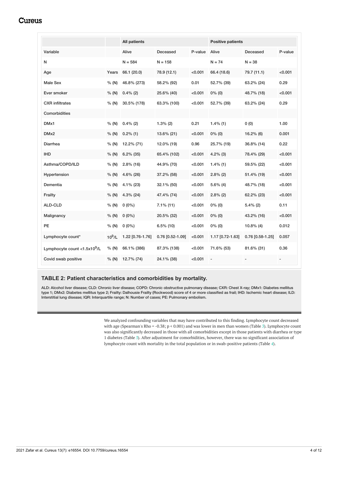<span id="page-5-0"></span>

|                                  |           | <b>All patients</b> |                  |         | <b>Positive patients</b> |                    |         |
|----------------------------------|-----------|---------------------|------------------|---------|--------------------------|--------------------|---------|
| Variable                         |           | Alive               | Deceased         | P-value | Alive                    | Deceased           | P-value |
| N                                |           | $N = 584$           | $N = 158$        |         | $N = 74$                 | $N = 38$           |         |
| Age                              | Years     | 66.1 (20.0)         | 78.9 (12.1)      | < 0.001 | 66.4 (18.6)              | 79.7 (11.1)        | < 0.001 |
| Male Sex                         | % (N)     | 46.8% (273)         | 58.2% (92)       | 0.01    | 52.7% (39)               | 63.2% (24)         | 0.29    |
| Ever smoker                      | % (N)     | $0.4\%$ (2)         | 25.6% (40)       | < 0.001 | $0\%$ (0)                | 48.7% (18)         | < 0.001 |
| <b>CXR</b> infiltrates           | % (N)     | 30.5% (178)         | 63.3% (100)      | < 0.001 | 52.7% (39)               | 63.2% (24)         | 0.29    |
| Comorbidities                    |           |                     |                  |         |                          |                    |         |
| DM <sub>x1</sub>                 | % (N)     | $0.4\%$ (2)         | $1.3\%$ (2)      | 0.21    | $1.4\%$ (1)              | 0(0)               | 1.00    |
| DM <sub>x2</sub>                 | % (N)     | $0.2\%$ (1)         | 13.6% (21)       | < 0.001 | $0\%$ (0)                | 16.2% (6)          | 0.001   |
| Diarrhea                         | % (N)     | 12.2% (71)          | 12.0% (19)       | 0.96    | 25.7% (19)               | 36.8% (14)         | 0.22    |
| <b>IHD</b>                       | % (N)     | $6.2\%$ (35)        | 65.4% (102)      | < 0.001 | $4.2\%$ (3)              | 78.4% (29)         | < 0.001 |
| Asthma/COPD/ILD                  | % (N)     | $2.8\%$ (16)        | 44.9% (70)       | < 0.001 | $1.4\%$ (1)              | 59.5% (22)         | < 0.001 |
| Hypertension                     | % (N)     | 4.6% (26)           | 37.2% (58)       | < 0.001 | $2.8\%$ (2)              | 51.4% (19)         | < 0.001 |
| Dementia                         | % (N)     | $4.1\%$ (23)        | 32.1% (50)       | < 0.001 | $5.6\%$ (4)              | 48.7% (18)         | < 0.001 |
| Frailty                          | % (N)     | 4.3% (24)           | 47.4% (74)       | < 0.001 | $2.8\%$ (2)              | 62.2% (23)         | < 0.001 |
| ALD-CLD                          | % (N)     | $0(0\%)$            | $7.1\%$ (11)     | < 0.001 | $0\%$ (0)                | $5.4\%$ (2)        | 0.11    |
| Malignancy                       | % (N)     | $0(0\%)$            | 20.5% (32)       | < 0.001 | $0\%$ (0)                | 43.2% (16)         | < 0.001 |
| PE.                              | % (N)     | $0(0\%)$            | $6.5\%$ (10)     | < 0.001 | $0\%$ (0)                | $10.8\%$ (4)       | 0.012   |
| Lymphocyte count*                | $10^9$ /L | 1.22 [0.76-1.76]    | 0.76 [0.52-1.09] | < 0.001 | 1.17 [0.72-1.63]         | $0.76$ [0.58-1.25] | 0.057   |
| Lymphocyte count < $1.5x10^9$ /L | % (N)     | 66.1% (386)         | 87.3% (138)      | < 0.001 | 71.6% (53)               | 81.6% (31)         | 0.36    |
| Covid swab positive              | % (N)     | 12.7% (74)          | 24.1% (38)       | < 0.001 |                          |                    |         |

#### **TABLE 2: Patient characteristics and comorbidities by mortality.**

ALD: Alcohol liver disease; CLD: Chronic liver disease; COPD: Chronic obstructive pulmonary disease; CXR: Chest X-ray; DMx1: Diabetes mellitus type 1; DMx2: Diabetes mellitus type 2; Frailty: Dalhousie Frailty (Rockwood) score of 4 or more classified as frail; IHD: Ischemic heart disease; ILD: Interstitial lung disease; IQR: Interquartile range; N: Number of cases; PE: Pulmonary embolism.

> We analyzed confounding variables that may have contributed to this finding. Lymphocyte count decreased with age (Spearman's Rho = -0.38; p < 0.001) and was lower in men than women (Table *[3](#page-4-0)*). Lymphocyte count was also significantly decreased in those with all comorbidities except in those patients with diarrhea or type 1 diabetes (Table *[3](#page-4-0)*). After adjustment for comorbidities, however, there was no significant association of lymphocyte count with mortality in the total population or in swab-positive patients (Table *[4](#page-4-1)*).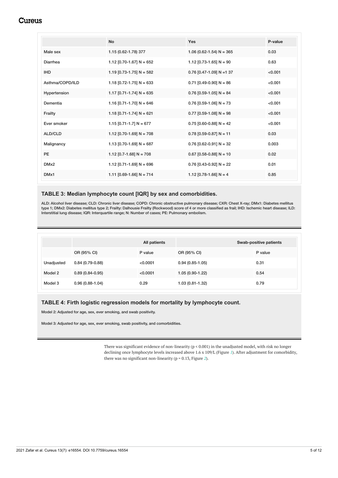<span id="page-6-0"></span>

|                  | <b>No</b>                    | <b>Yes</b>                 | P-value |
|------------------|------------------------------|----------------------------|---------|
| Male sex         | 1.15 (0.62-1.78) 377         | $1.06$ (0.62-1.54) N = 365 | 0.03    |
| Diarrhea         | 1.12 [0.70-1.67] N = 652     | $1.12$ [0.73-1.65] N = 90  | 0.63    |
| <b>IHD</b>       | 1.19 $[0.73 - 1.75]$ N = 582 | $0.76$ [0.47-1.09] N =1 37 | < 0.001 |
| Asthma/COPD/ILD  | $1.18$ [0.72-1.75] N = 633   | $0.71$ [0.49-0.90] N = 86  | < 0.001 |
| Hypertension     | 1.17 $[0.71 - 1.74]$ N = 635 | $0.76$ [0.59-1.05] N = 84  | < 0.001 |
| Dementia         | 1.16 $[0.71 - 1.70]$ N = 646 | $0.76$ [0.59-1.06] N = 73  | < 0.001 |
| Frailty          | 1.18 $[0.71 - 1.74]$ N = 621 | $0.77$ [0.59-1.08] N = 98  | < 0.001 |
| Ever smoker      | 1.15 $[0.71 - 1.7]$ N = 677  | $0.75$ [0.60-0.88] N = 42  | < 0.001 |
| ALD/CLD          | 1.12 [0.70-1.69] N = 708     | $0.78$ [0.59-0.87] N = 11  | 0.03    |
| Malignancy       | 1.13 $[0.70 - 1.69]$ N = 687 | $0.76$ [0.62-0.91] N = 32  | 0.003   |
| PE.              | $1.12$ [0.7-1.68] N = 708    | $0.67$ [0.58-0.88] N = 10  | 0.02    |
| DM <sub>x2</sub> | 1.12 [0.71-1.69] N = 696     | $0.76$ [0.43-0.92] N = 22  | 0.01    |
| DM <sub>x1</sub> | 1.11 $[0.69 - 1.66]$ N = 714 | 1.12 [0.78-1.66] $N = 4$   | 0.85    |

#### **TABLE 3: Median lymphocyte count [IQR] by sex and comorbidities.**

ALD: Alcohol liver disease; CLD: Chronic liver disease; COPD: Chronic obstructive pulmonary disease; CXR: Chest X-ray; DMx1: Diabetes mellitus type 1; DMx2: Diabetes mellitus type 2; Frailty: Dalhousie Frailty (Rockwood) score of 4 or more classified as frail; IHD: Ischemic heart disease; ILD: Interstitial lung disease; IQR: Interquartile range; N: Number of cases; PE: Pulmonary embolism.

|            |                     | All patients |                   | Swab-positive patients |
|------------|---------------------|--------------|-------------------|------------------------|
|            | OR (95% CI)         | P value      | OR (95% CI)       | P value                |
| Unadjusted | $0.84(0.79-0.88)$   | < 0.0001     | $0.94(0.85-1.05)$ | 0.31                   |
| Model 2    | $0.89(0.84 - 0.95)$ | < 0.0001     | 1.05 (0.90-1.22)  | 0.54                   |
| Model 3    | $0.96(0.88-1.04)$   | 0.29         | 1.03 (0.81-1.32)  | 0.79                   |

#### **TABLE 4: Firth logistic regression models for mortality by lymphocyte count.**

Model 2: Adjusted for age, sex, ever smoking, and swab positivity.

Model 3: Adjusted for age, sex, ever smoking, swab positivity, and comorbidities.

There was significant evidence of non-linearity (p < 0.001) in the unadjusted model, with risk no longer declining once lymphocyte levels increased above 1.6 x 109/L (Figure *[1](#page-5-0)*). After adjustment for comorbidity, there was no significant non-linearity (p = 0.13, Figure *[2](#page-6-0)*).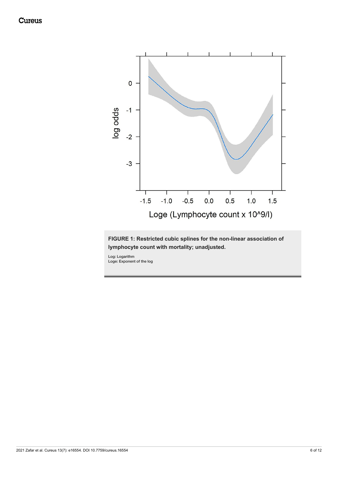<span id="page-7-0"></span>

<span id="page-7-1"></span>**FIGURE 1: Restricted cubic splines for the non-linear association of lymphocyte count with mortality; unadjusted.**

Log: Logarithm Loge: Exponent of the log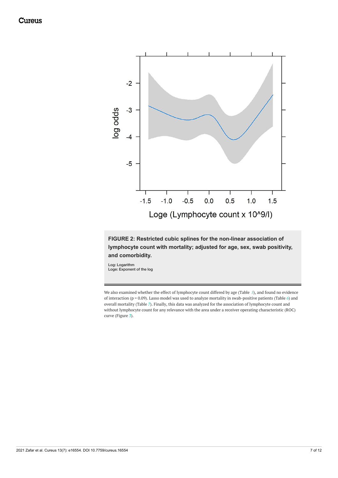<span id="page-8-0"></span>

**FIGURE 2: Restricted cubic splines for the non-linear association of lymphocyte count with mortality; adjusted for age, sex, swab positivity, and comorbidity.**

Log: Logarithm Loge: Exponent of the log

We also examined whether the effect of lymphocyte count differed by age (Table *[5](#page-7-0)*), and found no evidence of interaction (p = 0.09). Lasso model was used to analyze mortality in swab-positive patients (Table *[6](#page-7-1)*) and overall mortality (Table *[7](#page-8-0)*). Finally, this data was analyzed for the association of lymphocyte count and without lymphocyte count for any relevance with the area under a receiver operating characteristic (ROC) curve (Figure *[3](#page-9-0)*).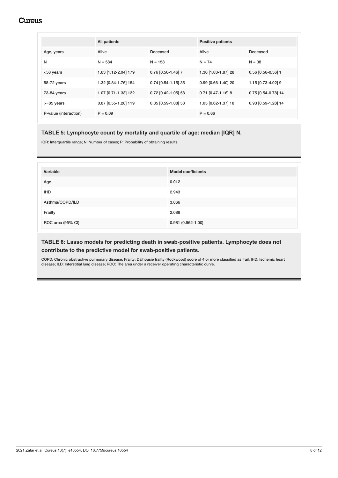<span id="page-9-0"></span>

|                       | All patients         |                     | <b>Positive patients</b> |                      |
|-----------------------|----------------------|---------------------|--------------------------|----------------------|
| Age, years            | Alive                | Deceased            | Alive                    | Deceased             |
| N                     | $N = 584$            | $N = 158$           | $N = 74$                 | $N = 38$             |
| $<$ 58 years          | 1.63 [1.12-2.04] 179 | 0.76 [0.56-1.46] 7  | 1.36 [1.03-1.87] 28      | $0.56$ [0.56-0.56] 1 |
| 58-72 years           | 1.32 [0.84-1.76] 154 | 0.74 [0.54-1.15] 35 | 0.99 [0.66-1.40] 20      | 1.15 [0.73-4.02] 9   |
| 73-84 years           | 1.07 [0.71-1.33] 132 | 0.72 [0.42-1.05] 58 | $0.71$ [0.47-1.16] 8     | 0.75 [0.54-0.78] 14  |
| $>= 85$ years         | 0.87 [0.55-1.28] 119 | 0.85 [0.59-1.08] 58 | 1.05 [0.62-1.37] 18      | 0.93 [0.59-1.28] 14  |
| P-value (interaction) | $P = 0.09$           |                     | $P = 0.66$               |                      |

### **TABLE 5: Lymphocyte count by mortality and quartile of age: median [IQR] N.**

IQR: Interquartile range; N: Number of cases; P: Probability of obtaining results.

| Variable          | <b>Model coefficients</b> |
|-------------------|---------------------------|
| Age               | 0.012                     |
| <b>IHD</b>        | 2.943                     |
| Asthma/COPD/ILD   | 3.066                     |
| Frailty           | 2.086                     |
| ROC area (95% CI) | $0.981(0.962 - 1.00)$     |

### **TABLE 6: Lasso models for predicting death in swab-positive patients. Lymphocyte does not contribute to the predictive model for swab-positive patients.**

COPD: Chronic obstructive pulmonary disease; Frailty: Dalhousie frailty (Rockwood) score of 4 or more classified as frail; IHD: Ischemic heart disease; ILD: Interstitial lung disease; ROC: The area under a receiver operating characteristic curve.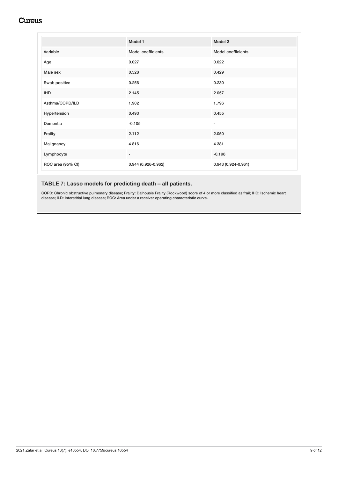|                   | Model 1                  | Model 2                  |
|-------------------|--------------------------|--------------------------|
| Variable          | Model coefficients       | Model coefficients       |
| Age               | 0.027                    | 0.022                    |
| Male sex          | 0.528                    | 0.429                    |
| Swab positive     | 0.256                    | 0.230                    |
| <b>IHD</b>        | 2.145                    | 2.057                    |
| Asthma/COPD/ILD   | 1.902                    | 1.796                    |
| Hypertension      | 0.493                    | 0.455                    |
| Dementia          | $-0.105$                 | $\overline{\phantom{a}}$ |
| Frailty           | 2.112                    | 2.050                    |
| Malignancy        | 4.816                    | 4.381                    |
| Lymphocyte        | $\overline{\phantom{a}}$ | $-0.198$                 |
| ROC area (95% CI) | 0.944 (0.926-0.962)      | $0.943(0.924 - 0.961)$   |

# **TABLE 7: Lasso models for predicting death – all patients.**

COPD: Chronic obstructive pulmonary disease; Frailty: Dalhousie Frailty (Rockwood) score of 4 or more classified as frail; IHD: Ischemic heart disease; ILD: Interstitial lung disease; ROC: Area under a receiver operating characteristic curve.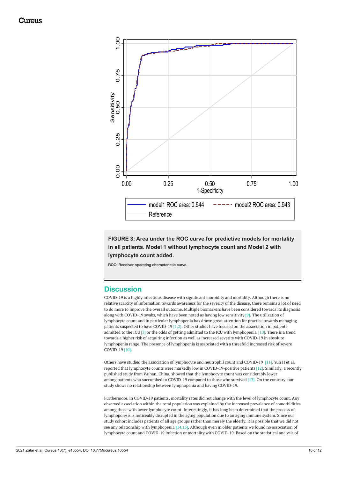

**FIGURE 3: Area under the ROC curve for predictive models for mortality in all patients. Model 1 without lymphocyte count and Model 2 with lymphocyte count added.**

ROC: Receiver operating characteristic curve.

# **Discussion**

COVID-19 is a highly infectious disease with significant morbidity and mortality. Although there is no relative scarcity of information towards awareness for the severity of the disease, there remains a lot of need to do more to improve the overall outcome. Multiple biomarkers have been considered towards its diagnosis along with COVID-19 swabs, which have been noted as having low sensitivity [9]. The utilization of lymphocyte count and in particular lymphopenia has drawn great attention for practice towards managing patients suspected to have COVID-19 [1,2]. Other studies have focused on the association in patients admitted to the ICU [3] or the odds of getting admitted to the ICU with lymphopenia [10]. There is a trend towards a higher risk of acquiring infection as well as increased severity with COVID-19 in absolute lymphopenia range. The presence of lymphopenia is associated with a threefold increased risk of severe COVID-19 [10].

Others have studied the association of lymphocyte and neutrophil count and COVID-19 [11]. Yun H et al. reported that lymphocyte counts were markedly low in COVID-19-positive patients [12]. Similarly, a recently published study from Wuhan, China, showed that the lymphocyte count was considerably lower among patients who succumbed to COVID-19 compared to those who survived [13]. On the contrary, our study shows no relationship between lymphopenia and having COVID-19.

Furthermore, in COVID-19 patients, mortality rates did not change with the level of lymphocyte count. Any observed association within the total population was explained by the increased prevalence of comorbidities among those with lower lymphocyte count. Interestingly, it has long been determined that the process of lymphopoiesis is noticeably disrupted in the aging population due to an aging immune system. Since our study cohort includes patients of all age groups rather than merely the elderly, it is possible that we did not see any relationship with lymphopenia [14,15]. Although even in older patients we found no association of lymphocyte count and COVID-19 infection or mortality with COVID-19. Based on the statistical analysis of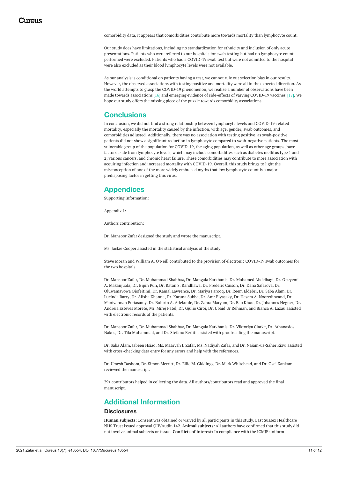comorbidity data, it appears that comorbidities contribute more towards mortality than lymphocyte count.

Our study does have limitations, including no standardization for ethnicity and inclusion of only acute presentations. Patients who were referred to our hospitals for swab testing but had no lymphocyte count performed were excluded. Patients who had a COVID-19 swab test but were not admitted to the hospital were also excluded as their blood lymphocyte levels were not available.

As our analysis is conditional on patients having a test, we cannot rule out selection bias in our results. However, the observed associations with testing positive and mortality were all in the expected direction. As the world attempts to grasp the COVID-19 phenomenon, we realize a number of observations have been made towards associations [16] and emerging evidence of side-effects of varying COVID-19 vaccines [17]. We hope our study offers the missing piece of the puzzle towards comorbidity associations.

### **Conclusions**

In conclusion, we did not find a strong relationship between lymphocyte levels and COVID-19-related mortality, especially the mortality caused by the infection, with age, gender, swab outcomes, and comorbidities adjusted. Additionally, there was no association with testing positive, as swab-positive patients did not show a significant reduction in lymphocyte compared to swab-negative patients. The most vulnerable group of the population for COVID-19, the aging population, as well as other age groups, have factors aside from lymphocyte levels, which may include comorbidities such as diabetes mellitus type 1 and 2; various cancers, and chronic heart failure. These comorbidities may contribute to more association with acquiring infection and increased mortality with COVID-19. Overall, this study brings to light the misconception of one of the more widely embraced myths that low lymphocyte count is a major predisposing factor in getting this virus.

# **Appendices**

Supporting Information:

Appendix 1:

Authors contribution:

Dr. Mansoor Zafar designed the study and wrote the manuscript.

Ms. Jackie Cooper assisted in the statistical analysis of the study.

Steve Moran and William A. O'Neill contributed to the provision of electronic COVID-19 swab outcomes for the two hospitals.

Dr. Mansoor Zafar, Dr. Muhammad Shahbaz, Dr. Mangala Karkhanis, Dr. Mohamed Abdelbagi, Dr. Opeyemi A. Makanjuola, Dr. Bipin Pun, Dr. Ratan S. Randhawa, Dr. Frederic Cuison, Dr. Dana Safarova, Dr. Oluwamayowa Ojofeitimi, Dr. Kamal Lawrence, Dr. Mariya Farooq, Dr. Reem Eldebri, Dr. Saba Alam, Dr. Lucinda Barry, Dr. Alisha Khanna, Dr. Karuna Subba, Dr. Amr Elyasaky, Dr. Hesam A. Nooredinvand, Dr. Manivannan Periasamy, Dr. Bolurin A. Adekunle, Dr. Zahra Maryam, Dr. Bao Khuu, Dr. Johannes Hegner, Dr. Andreia Esteves Morete, Mr. Mirej Patel, Dr. Gjulio Ciroi, Dr. Ubaid Ur Rehman, and Bianca A. Lazau assisted with electronic records of the patients.

Dr. Mansoor Zafar, Dr. Muhammad Shahbaz, Dr. Mangala Karkhanis, Dr. Viktoriya Clarke, Dr. Athanasios Nakos, Dr. Tila Muhammad, and Dr. Stefano Berliti assisted with proofreading the manuscript.

Dr. Saba Alam, Jabeen Hsiao, Ms. Maaryah J. Zafar, Ms. Nadiyah Zafar, and Dr. Najam-us-Saher Rizvi assisted with cross-checking data entry for any errors and help with the references.

Dr. Umesh Dashora, Dr. Simon Merritt, Dr. Ellie M. Giddings, Dr. Mark Whitehead, and Dr. Osei Kankam reviewed the manuscript.

29+ contributors helped in collecting the data. All authors/contributors read and approved the final manuscript.

# **Additional Information**

#### **Disclosures**

**Human subjects:** Consent was obtained or waived by all participants in this study. East Sussex Healthcare NHS Trust issued approval QIP/Audit-142. **Animal subjects:** All authors have confirmed that this study did not involve animal subjects or tissue. **Conflicts of interest:** In compliance with the ICMJE uniform